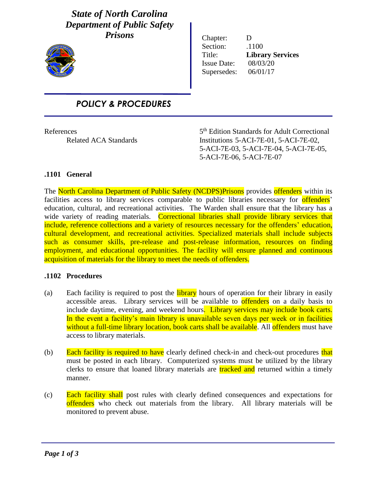# *State of North Carolina Department of Public Safety Prisons*



i

Chapter: D Section:  $.1100$ Title: **Library Services** Issue Date: 08/03/20 Supersedes: 06/01/17

# *POLICY & PROCEDURES*

**References** 

5<sup>th</sup> Edition Standards for Adult Correctional Related ACA Standards Institutions 5-ACI-7E-01, 5-ACI-7E-02, 5-ACI-7E-03, 5-ACI-7E-04, 5-ACI-7E-05, 5-ACI-7E-06, 5-ACI-7E-07

## **.1101 General**

The North Carolina Department of Public Safety (NCDPS)Prisons provides offenders within its facilities access to library services comparable to public libraries necessary for **offenders** education, cultural, and recreational activities. The Warden shall ensure that the library has a wide variety of reading materials. Correctional libraries shall provide library services that include, reference collections and a variety of resources necessary for the offenders' education, cultural development, and recreational activities. Specialized materials shall include subjects such as consumer skills, pre-release and post-release information, resources on finding employment, and educational opportunities. The facility will ensure planned and continuous acquisition of materials for the library to meet the needs of offenders.

### **.1102 Procedures**

- (a) Each facility is required to post the **library** hours of operation for their library in easily accessible areas. Library services will be available to **offenders** on a daily basis to include daytime, evening, and weekend hours. Library services may include book carts. In the event a facility's main library is unavailable seven days per week or in facilities without a full-time library location, book carts shall be available. All offenders must have access to library materials.
- (b) Each facility is required to have clearly defined check-in and check-out procedures that must be posted in each library. Computerized systems must be utilized by the library clerks to ensure that loaned library materials are tracked and returned within a timely manner.
- (c) Each facility shall post rules with clearly defined consequences and expectations for offenders who check out materials from the library. All library materials will be monitored to prevent abuse.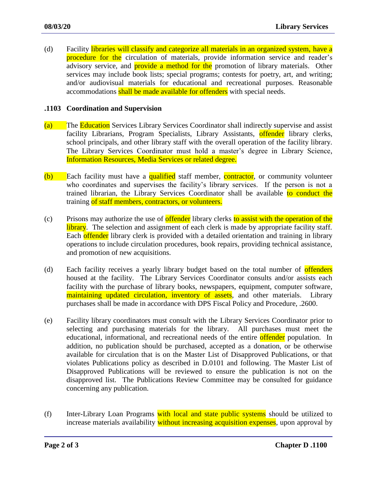(d) Facility libraries will classify and categorize all materials in an organized system, have a procedure for the circulation of materials, provide information service and reader's advisory service, and **provide a method for the** promotion of library materials. Other services may include book lists; special programs; contests for poetry, art, and writing; and/or audiovisual materials for educational and recreational purposes. Reasonable accommodations shall be made available for offenders with special needs.

#### **.1103 Coordination and Supervision**

- (a) The Education Services Library Services Coordinator shall indirectly supervise and assist facility Librarians, Program Specialists, Library Assistants, **offender** library clerks, school principals, and other library staff with the overall operation of the facility library. The Library Services Coordinator must hold a master's degree in Library Science, Information Resources, Media Services or related degree.
- (b) Each facility must have a qualified staff member, contractor, or community volunteer who coordinates and supervises the facility's library services. If the person is not a trained librarian, the Library Services Coordinator shall be available to conduct the training of staff members, contractors, or volunteers.
- (c) Prisons may authorize the use of **offender** library clerks to assist with the operation of the library. The selection and assignment of each clerk is made by appropriate facility staff. Each offender library clerk is provided with a detailed orientation and training in library operations to include circulation procedures, book repairs, providing technical assistance, and promotion of new acquisitions.
- (d) Each facility receives a yearly library budget based on the total number of **offenders** housed at the facility. The Library Services Coordinator consults and/or assists each facility with the purchase of library books, newspapers, equipment, computer software, maintaining updated circulation, inventory of assets, and other materials. Library purchases shall be made in accordance with DPS Fiscal Policy and Procedure, .2600.
- (e) Facility library coordinators must consult with the Library Services Coordinator prior to selecting and purchasing materials for the library. All purchases must meet the educational, informational, and recreational needs of the entire offender population. In addition, no publication should be purchased, accepted as a donation, or be otherwise available for circulation that is on the Master List of Disapproved Publications, or that violates Publications policy as described in D.0101 and following. The Master List of Disapproved Publications will be reviewed to ensure the publication is not on the disapproved list. The Publications Review Committee may be consulted for guidance concerning any publication.
- (f) Inter-Library Loan Programs with local and state public systems should be utilized to increase materials availability without increasing acquisition expenses, upon approval by